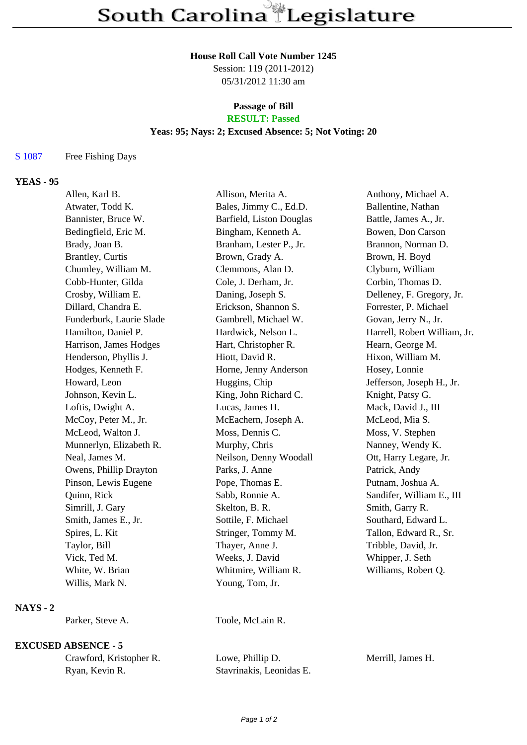#### **House Roll Call Vote Number 1245**

Session: 119 (2011-2012) 05/31/2012 11:30 am

# **Passage of Bill**

# **RESULT: Passed**

## **Yeas: 95; Nays: 2; Excused Absence: 5; Not Voting: 20**

### S 1087 Free Fishing Days

## **YEAS - 95**

| Allen, Karl B.           | Allison, Merita A.       | Anthony, Michael A.          |
|--------------------------|--------------------------|------------------------------|
| Atwater, Todd K.         | Bales, Jimmy C., Ed.D.   | Ballentine, Nathan           |
| Bannister, Bruce W.      | Barfield, Liston Douglas | Battle, James A., Jr.        |
| Bedingfield, Eric M.     | Bingham, Kenneth A.      | Bowen, Don Carson            |
| Brady, Joan B.           | Branham, Lester P., Jr.  | Brannon, Norman D.           |
| <b>Brantley</b> , Curtis | Brown, Grady A.          | Brown, H. Boyd               |
| Chumley, William M.      | Clemmons, Alan D.        | Clyburn, William             |
| Cobb-Hunter, Gilda       | Cole, J. Derham, Jr.     | Corbin, Thomas D.            |
| Crosby, William E.       | Daning, Joseph S.        | Delleney, F. Gregory, Jr.    |
| Dillard, Chandra E.      | Erickson, Shannon S.     | Forrester, P. Michael        |
| Funderburk, Laurie Slade | Gambrell, Michael W.     | Govan, Jerry N., Jr.         |
| Hamilton, Daniel P.      | Hardwick, Nelson L.      | Harrell, Robert William, Jr. |
| Harrison, James Hodges   | Hart, Christopher R.     | Hearn, George M.             |
| Henderson, Phyllis J.    | Hiott, David R.          | Hixon, William M.            |
| Hodges, Kenneth F.       | Horne, Jenny Anderson    | Hosey, Lonnie                |
| Howard, Leon             | Huggins, Chip            | Jefferson, Joseph H., Jr.    |
| Johnson, Kevin L.        | King, John Richard C.    | Knight, Patsy G.             |
| Loftis, Dwight A.        | Lucas, James H.          | Mack, David J., III          |
| McCoy, Peter M., Jr.     | McEachern, Joseph A.     | McLeod, Mia S.               |
| McLeod, Walton J.        | Moss, Dennis C.          | Moss, V. Stephen             |
| Munnerlyn, Elizabeth R.  | Murphy, Chris            | Nanney, Wendy K.             |
| Neal, James M.           | Neilson, Denny Woodall   | Ott, Harry Legare, Jr.       |
| Owens, Phillip Drayton   | Parks, J. Anne           | Patrick, Andy                |
| Pinson, Lewis Eugene     | Pope, Thomas E.          | Putnam, Joshua A.            |
| Quinn, Rick              | Sabb, Ronnie A.          | Sandifer, William E., III    |
| Simrill, J. Gary         | Skelton, B. R.           | Smith, Garry R.              |
| Smith, James E., Jr.     | Sottile, F. Michael      | Southard, Edward L.          |
| Spires, L. Kit           | Stringer, Tommy M.       | Tallon, Edward R., Sr.       |
| Taylor, Bill             | Thayer, Anne J.          | Tribble, David, Jr.          |
| Vick, Ted M.             | Weeks, J. David          | Whipper, J. Seth             |
| White, W. Brian          | Whitmire, William R.     | Williams, Robert Q.          |
| Willis, Mark N.          | Young, Tom, Jr.          |                              |
|                          |                          |                              |

### **NAYS - 2**

Parker, Steve A. Toole, McLain R.

## **EXCUSED ABSENCE - 5**

| Crawford, Kristopher R. |  |  |
|-------------------------|--|--|
| Ryan, Kevin R.          |  |  |

Lowe, Phillip D. Merrill, James H. Stavrinakis, Leonidas E.